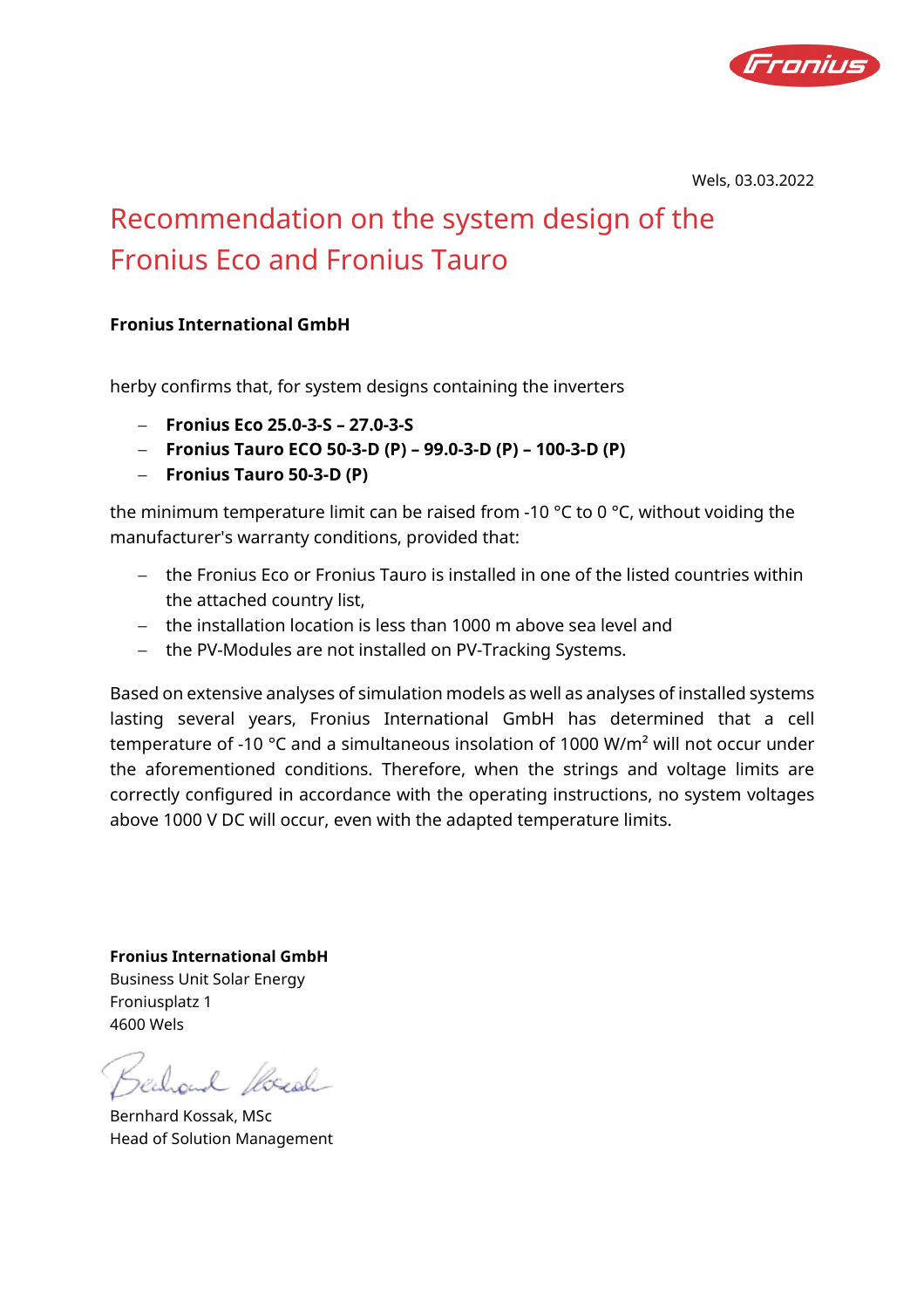

Wels, 03.03.2022

# Recommendation on the system design of the Fronius Eco and Fronius Tauro

#### **Fronius International GmbH**

herby confirms that, for system designs containing the inverters

- − **Fronius Eco 25.0-3-S 27.0-3-S**
- − **Fronius Tauro ECO 50-3-D (P) 99.0-3-D (P) 100-3-D (P)**
- − **Fronius Tauro 50-3-D (P)**

the minimum temperature limit can be raised from -10 °C to 0 °C, without voiding the manufacturer's warranty conditions, provided that:

- − the Fronius Eco or Fronius Tauro is installed in one of the listed countries within the attached country list,
- − the installation location is less than 1000 m above sea level and
- − the PV-Modules are not installed on PV-Tracking Systems.

Based on extensive analyses of simulation models as well as analyses of installed systems lasting several years, Fronius International GmbH has determined that a cell temperature of -10 °C and a simultaneous insolation of 1000 W/m² will not occur under the aforementioned conditions. Therefore, when the strings and voltage limits are correctly configured in accordance with the operating instructions, no system voltages above 1000 V DC will occur, even with the adapted temperature limits.

**Fronius International GmbH** Business Unit Solar Energy Froniusplatz 1 4600 Wels

Bernhard Kossak, MSc Head of Solution Management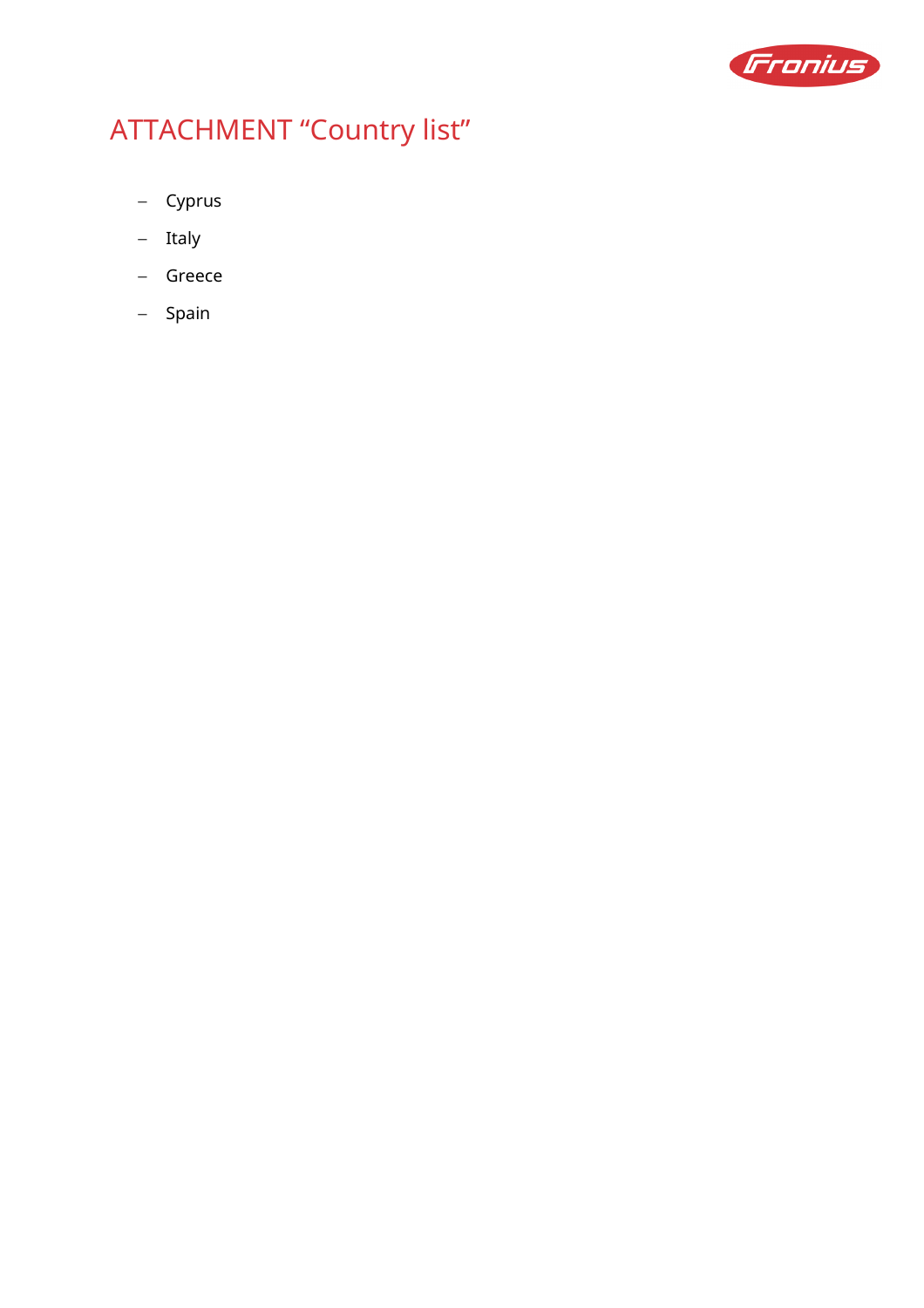

# ATTACHMENT "Country list"

- − Cyprus
- − Italy
- − Greece
- − Spain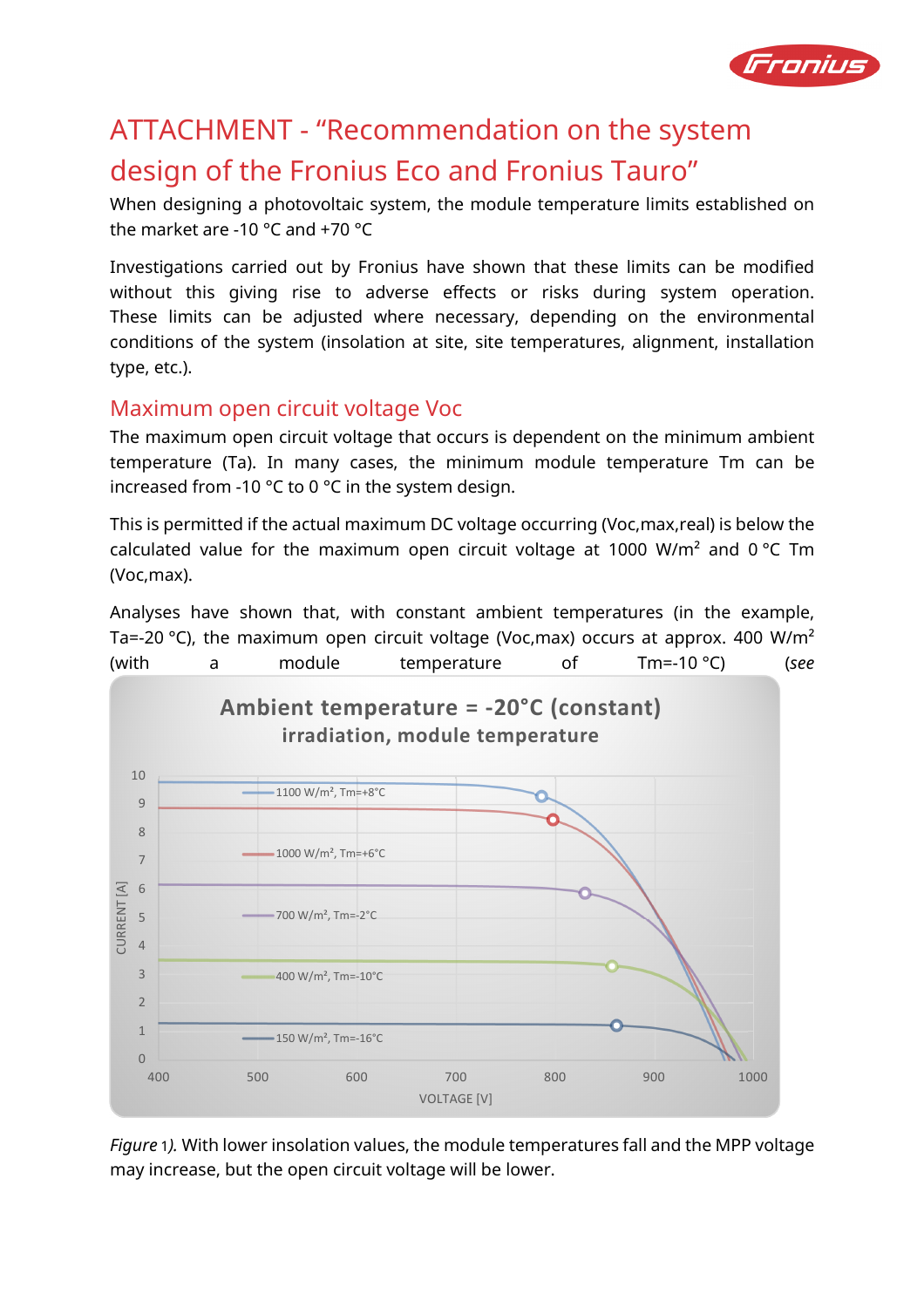

## ATTACHMENT - "Recommendation on the system design of the Fronius Eco and Fronius Tauro"

When designing a photovoltaic system, the module temperature limits established on the market are -10 °C and +70 °C

Investigations carried out by Fronius have shown that these limits can be modified without this giving rise to adverse effects or risks during system operation. These limits can be adjusted where necessary, depending on the environmental conditions of the system (insolation at site, site temperatures, alignment, installation type, etc.).

### Maximum open circuit voltage Voc

The maximum open circuit voltage that occurs is dependent on the minimum ambient temperature (Ta). In many cases, the minimum module temperature Tm can be increased from -10 °C to 0 °C in the system design.

This is permitted if the actual maximum DC voltage occurring (Voc,max,real) is below the calculated value for the maximum open circuit voltage at 1000 W/m<sup>2</sup> and 0 °C Tm (Voc,max).

Analyses have shown that, with constant ambient temperatures (in the example, Ta=-20 °C), the maximum open circuit voltage (Voc,max) occurs at approx. 400 W/m<sup>2</sup> (with a module temperature of Tm=-10 °C) (*see* 



*Figure* 1*).* With lower insolation values, the module temperatures fall and the MPP voltage may increase, but the open circuit voltage will be lower.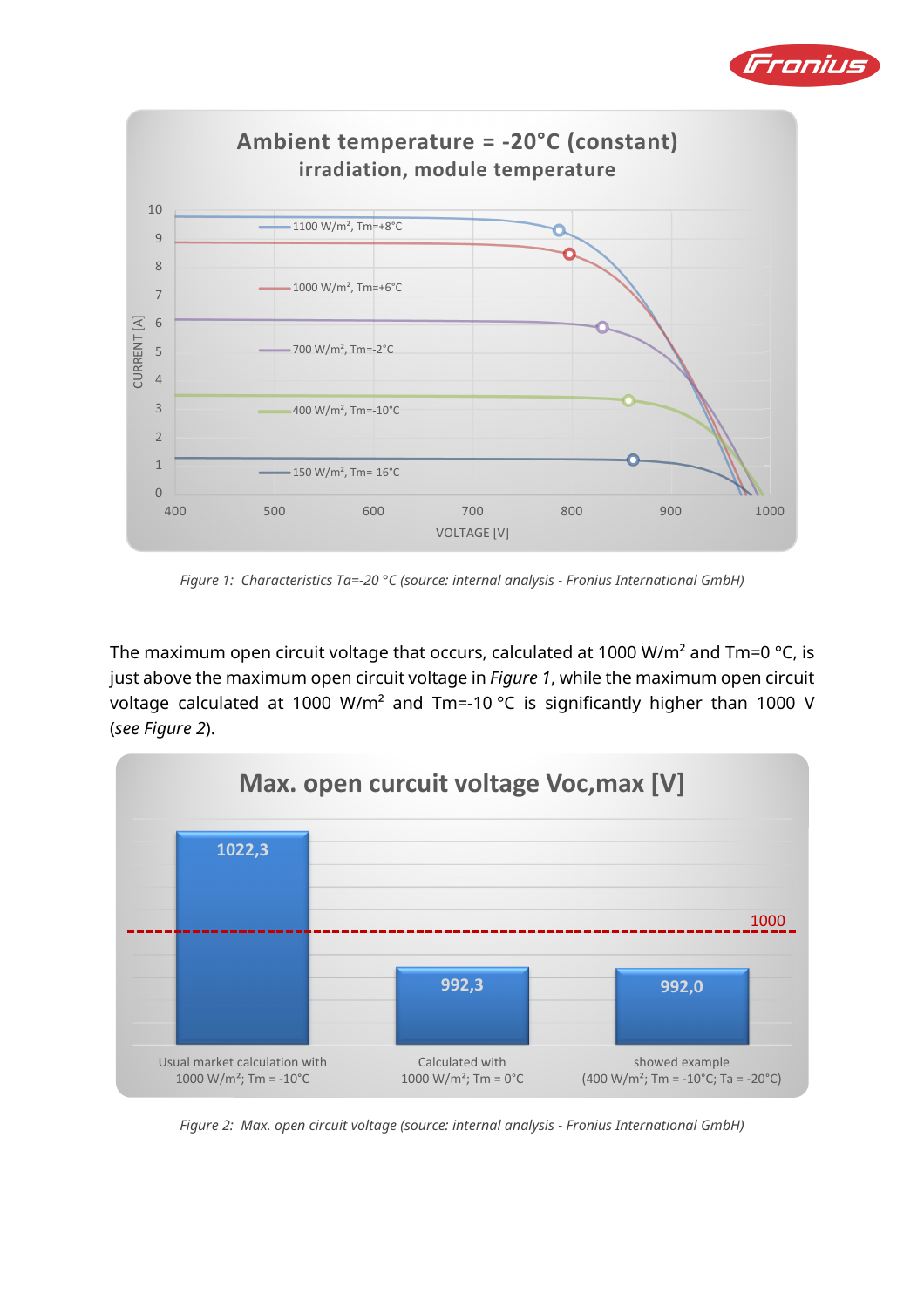



*Figure 1: Characteristics Ta=-20 °C (source: internal analysis - Fronius International GmbH)* 

The maximum open circuit voltage that occurs, calculated at 1000 W/m<sup>2</sup> and Tm=0 °C, is just above the maximum open circuit voltage in *Figure 1*, while the maximum open circuit voltage calculated at 1000 W/m<sup>2</sup> and Tm=-10 °C is significantly higher than 1000 V (*see Figure 2*).



*Figure 2: Max. open circuit voltage (source: internal analysis - Fronius International GmbH)*